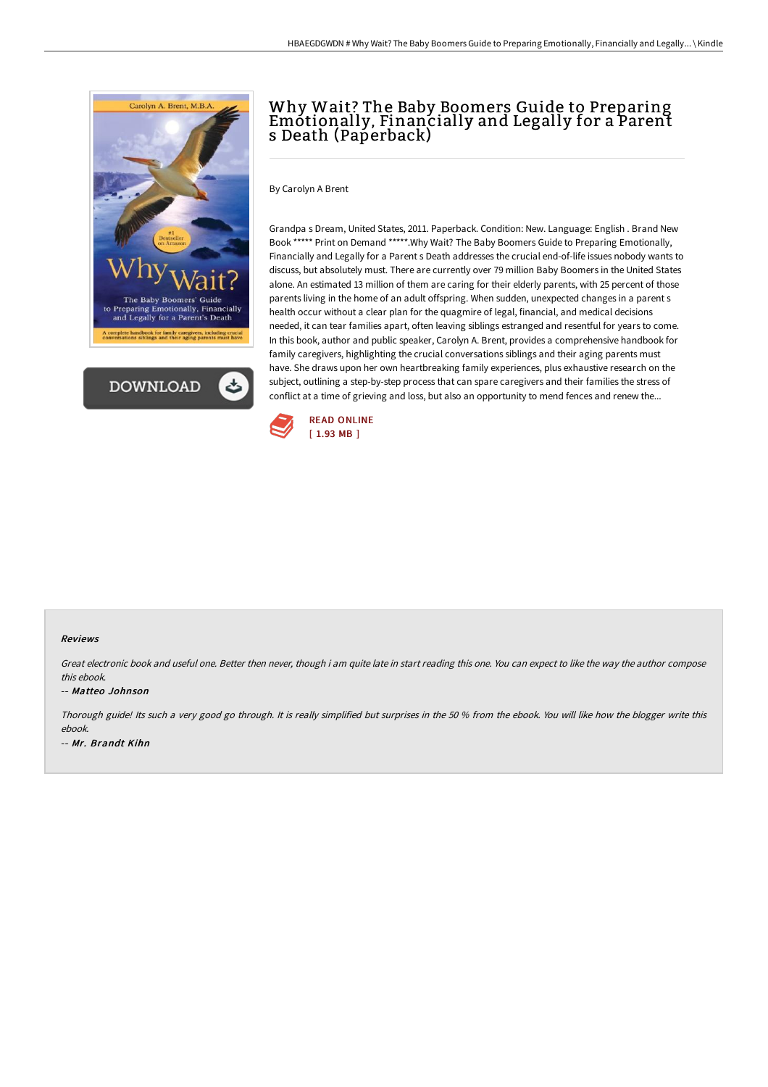



# Why Wait? The Baby Boomers Guide to Preparing Emotionally, Financially and Legally for a Parent s Death (Paperback)

By Carolyn A Brent

Grandpa s Dream, United States, 2011. Paperback. Condition: New. Language: English . Brand New Book \*\*\*\*\* Print on Demand \*\*\*\*\*.Why Wait? The Baby Boomers Guide to Preparing Emotionally, Financially and Legally for a Parent s Death addresses the crucial end-of-life issues nobody wants to discuss, but absolutely must. There are currently over 79 million Baby Boomers in the United States alone. An estimated 13 million of them are caring for their elderly parents, with 25 percent of those parents living in the home of an adult offspring. When sudden, unexpected changes in a parent s health occur without a clear plan for the quagmire of legal, financial, and medical decisions needed, it can tear families apart, often leaving siblings estranged and resentful for years to come. In this book, author and public speaker, Carolyn A. Brent, provides a comprehensive handbook for family caregivers, highlighting the crucial conversations siblings and their aging parents must have. She draws upon her own heartbreaking family experiences, plus exhaustive research on the subject, outlining a step-by-step process that can spare caregivers and their families the stress of conflict at a time of grieving and loss, but also an opportunity to mend fences and renew the...



### Reviews

Great electronic book and useful one. Better then never, though i am quite late in start reading this one. You can expect to like the way the author compose this ebook.

#### -- Matteo Johnson

Thorough guide! Its such <sup>a</sup> very good go through. It is really simplified but surprises in the <sup>50</sup> % from the ebook. You will like how the blogger write this ebook. -- Mr. Brandt Kihn